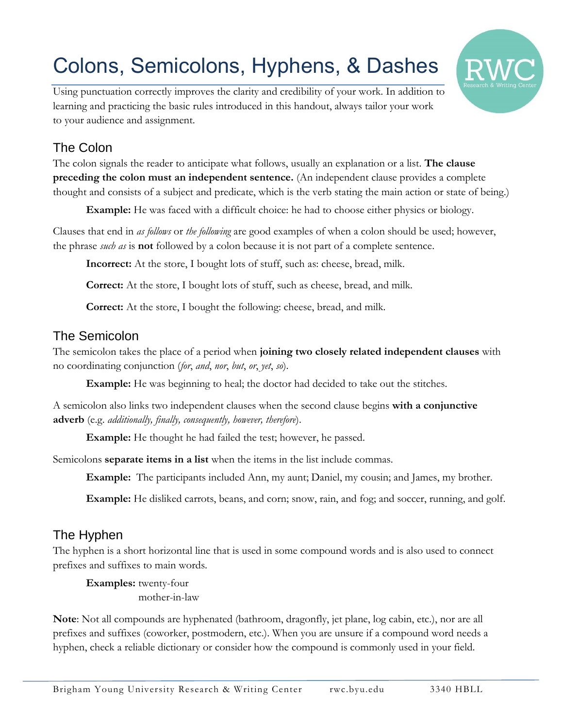# Colons, Semicolons, Hyphens, & Dashes



Using punctuation correctly improves the clarity and credibility of your work. In addition to learning and practicing the basic rules introduced in this handout, always tailor your work to your audience and assignment.

## The Colon

The colon signals the reader to anticipate what follows, usually an explanation or a list. **The clause preceding the colon must an independent sentence.** (An independent clause provides a complete thought and consists of a subject and predicate, which is the verb stating the main action or state of being.)

**Example:** He was faced with a difficult choice: he had to choose either physics or biology.

Clauses that end in *as follows* or *the following* are good examples of when a colon should be used; however, the phrase *such as* is **not** followed by a colon because it is not part of a complete sentence.

**Incorrect:** At the store, I bought lots of stuff, such as: cheese, bread, milk.

**Correct:** At the store, I bought lots of stuff, such as cheese, bread, and milk.

**Correct:** At the store, I bought the following: cheese, bread, and milk.

### The Semicolon

The semicolon takes the place of a period when **joining two closely related independent clauses** with no coordinating conjunction (*for*, *and*, *nor*, *but*, *or*, *yet*, *so*).

**Example:** He was beginning to heal; the doctor had decided to take out the stitches.

A semicolon also links two independent clauses when the second clause begins **with a conjunctive adverb** (e.g. *additionally, finally, consequently, however, therefore*).

**Example:** He thought he had failed the test; however, he passed.

Semicolons **separate items in a list** when the items in the list include commas.

**Example:** The participants included Ann, my aunt; Daniel, my cousin; and James, my brother.

**Example:** He disliked carrots, beans, and corn; snow, rain, and fog; and soccer, running, and golf.

## The Hyphen

The hyphen is a short horizontal line that is used in some compound words and is also used to connect prefixes and suffixes to main words.

**Examples:** twenty-four mother-in-law

**Note**: Not all compounds are hyphenated (bathroom, dragonfly, jet plane, log cabin, etc.), nor are all prefixes and suffixes (coworker, postmodern, etc.). When you are unsure if a compound word needs a hyphen, check a reliable dictionary or consider how the compound is commonly used in your field.